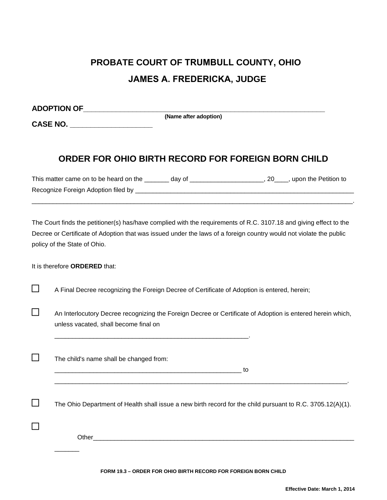## **PROBATE COURT OF TRUMBULL COUNTY, OHIO JAMES A. FREDERICKA, JUDGE**

**ADOPTION OF\_\_\_\_\_\_\_\_\_\_\_\_\_\_\_\_\_\_\_\_\_\_\_\_\_\_\_\_\_\_\_\_\_\_\_\_\_\_\_\_\_\_\_\_\_\_\_\_\_\_\_\_\_\_\_\_\_\_\_**

**CASE NO. \_\_\_\_\_\_\_\_\_\_\_\_\_\_\_\_\_\_\_\_**

**(Name after adoption)**

## **ORDER FOR OHIO BIRTH RECORD FOR FOREIGN BORN CHILD**

| This matter came on to be heard on the | dav of | , upon the Petition to |
|----------------------------------------|--------|------------------------|
| Recognize Foreign Adoption filed by    |        |                        |

\_\_\_\_\_\_\_\_\_\_\_\_\_\_\_\_\_\_\_\_\_\_\_\_\_\_\_\_\_\_\_\_\_\_\_\_\_\_\_\_\_\_\_\_\_\_\_\_\_\_\_\_\_\_\_\_\_\_\_\_\_\_\_\_\_\_\_\_\_\_\_\_\_\_\_\_\_\_\_\_\_\_\_\_\_\_\_\_\_\_\_.

The Court finds the petitioner(s) has/have complied with the requirements of R.C. 3107.18 and giving effect to the Decree or Certificate of Adoption that was issued under the laws of a foreign country would not violate the public policy of the State of Ohio.

It is therefore **ORDERED** that:

 $\Box$ 

 $\Box$ 

 $\Box$ 

П

 $\Box$ 

A Final Decree recognizing the Foreign Decree of Certificate of Adoption is entered, herein;

\_\_\_\_\_\_\_\_\_\_\_\_\_\_\_\_\_\_\_\_\_\_\_\_\_\_\_\_\_\_\_\_\_\_\_\_\_\_\_\_\_\_\_\_\_\_\_\_\_\_\_\_\_\_\_.

An Interlocutory Decree recognizing the Foreign Decree or Certificate of Adoption is entered herein which, unless vacated, shall become final on

The child's name shall be changed from:

\_\_\_\_\_\_\_\_\_\_\_\_\_\_\_\_\_\_\_\_\_\_\_\_\_\_\_\_\_\_\_\_\_\_\_\_\_\_\_\_\_\_\_\_\_\_\_\_\_\_\_\_\_ to

The Ohio Department of Health shall issue a new birth record for the child pursuant to R.C. 3705.12(A)(1).

\_\_\_\_\_\_\_\_\_\_\_\_\_\_\_\_\_\_\_\_\_\_\_\_\_\_\_\_\_\_\_\_\_\_\_\_\_\_\_\_\_\_\_\_\_\_\_\_\_\_\_\_\_\_\_\_\_\_\_\_\_\_\_\_\_\_\_\_\_\_\_\_\_\_\_\_\_\_\_\_\_\_\_.

Other was a set of the set of the set of the set of the set of the set of the set of the set of the set of the set of the set of the set of the set of the set of the set of the set of the set of the set of the set of the s

 $\overline{\phantom{a}}$